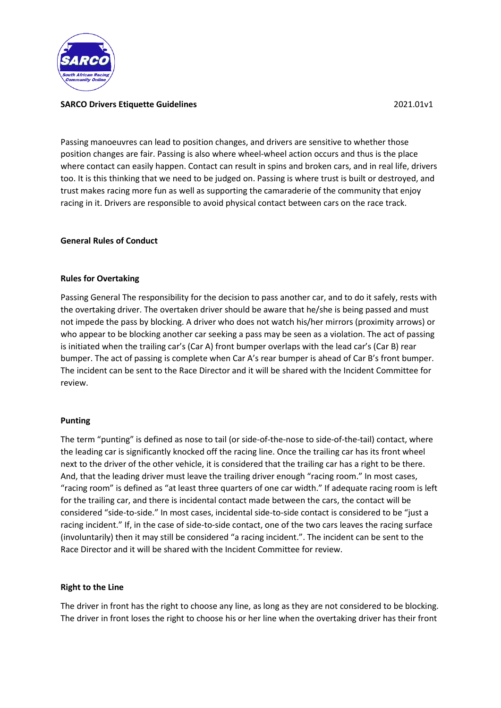

## **SARCO Drivers Etiquette Guidelines** 2021.01v1

Passing manoeuvres can lead to position changes, and drivers are sensitive to whether those position changes are fair. Passing is also where wheel-wheel action occurs and thus is the place where contact can easily happen. Contact can result in spins and broken cars, and in real life, drivers too. It is this thinking that we need to be judged on. Passing is where trust is built or destroyed, and trust makes racing more fun as well as supporting the camaraderie of the community that enjoy racing in it. Drivers are responsible to avoid physical contact between cars on the race track.

## **General Rules of Conduct**

#### **Rules for Overtaking**

Passing General The responsibility for the decision to pass another car, and to do it safely, rests with the overtaking driver. The overtaken driver should be aware that he/she is being passed and must not impede the pass by blocking. A driver who does not watch his/her mirrors (proximity arrows) or who appear to be blocking another car seeking a pass may be seen as a violation. The act of passing is initiated when the trailing car's (Car A) front bumper overlaps with the lead car's (Car B) rear bumper. The act of passing is complete when Car A's rear bumper is ahead of Car B's front bumper. The incident can be sent to the Race Director and it will be shared with the Incident Committee for review.

#### **Punting**

The term "punting" is defined as nose to tail (or side-of-the-nose to side-of-the-tail) contact, where the leading car is significantly knocked off the racing line. Once the trailing car has its front wheel next to the driver of the other vehicle, it is considered that the trailing car has a right to be there. And, that the leading driver must leave the trailing driver enough "racing room." In most cases, "racing room" is defined as "at least three quarters of one car width." If adequate racing room is left for the trailing car, and there is incidental contact made between the cars, the contact will be considered "side-to-side." In most cases, incidental side-to-side contact is considered to be "just a racing incident." If, in the case of side-to-side contact, one of the two cars leaves the racing surface (involuntarily) then it may still be considered "a racing incident.". The incident can be sent to the Race Director and it will be shared with the Incident Committee for review.

#### **Right to the Line**

The driver in front has the right to choose any line, as long as they are not considered to be blocking. The driver in front loses the right to choose his or her line when the overtaking driver has their front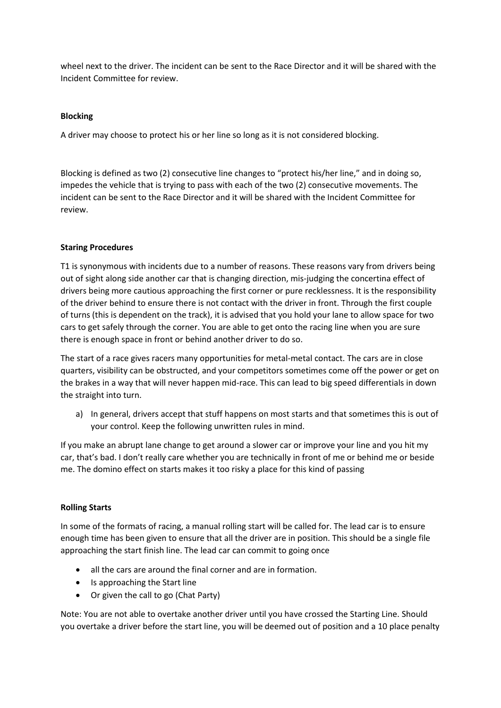wheel next to the driver. The incident can be sent to the Race Director and it will be shared with the Incident Committee for review.

## **Blocking**

A driver may choose to protect his or her line so long as it is not considered blocking.

Blocking is defined as two (2) consecutive line changes to "protect his/her line," and in doing so, impedes the vehicle that is trying to pass with each of the two (2) consecutive movements. The incident can be sent to the Race Director and it will be shared with the Incident Committee for review.

#### **Staring Procedures**

T1 is synonymous with incidents due to a number of reasons. These reasons vary from drivers being out of sight along side another car that is changing direction, mis-judging the concertina effect of drivers being more cautious approaching the first corner or pure recklessness. It is the responsibility of the driver behind to ensure there is not contact with the driver in front. Through the first couple of turns (this is dependent on the track), it is advised that you hold your lane to allow space for two cars to get safely through the corner. You are able to get onto the racing line when you are sure there is enough space in front or behind another driver to do so.

The start of a race gives racers many opportunities for metal-metal contact. The cars are in close quarters, visibility can be obstructed, and your competitors sometimes come off the power or get on the brakes in a way that will never happen mid-race. This can lead to big speed differentials in down the straight into turn.

a) In general, drivers accept that stuff happens on most starts and that sometimes this is out of your control. Keep the following unwritten rules in mind.

If you make an abrupt lane change to get around a slower car or improve your line and you hit my car, that's bad. I don't really care whether you are technically in front of me or behind me or beside me. The domino effect on starts makes it too risky a place for this kind of passing

#### **Rolling Starts**

In some of the formats of racing, a manual rolling start will be called for. The lead car is to ensure enough time has been given to ensure that all the driver are in position. This should be a single file approaching the start finish line. The lead car can commit to going once

- all the cars are around the final corner and are in formation.
- Is approaching the Start line
- Or given the call to go (Chat Party)

Note: You are not able to overtake another driver until you have crossed the Starting Line. Should you overtake a driver before the start line, you will be deemed out of position and a 10 place penalty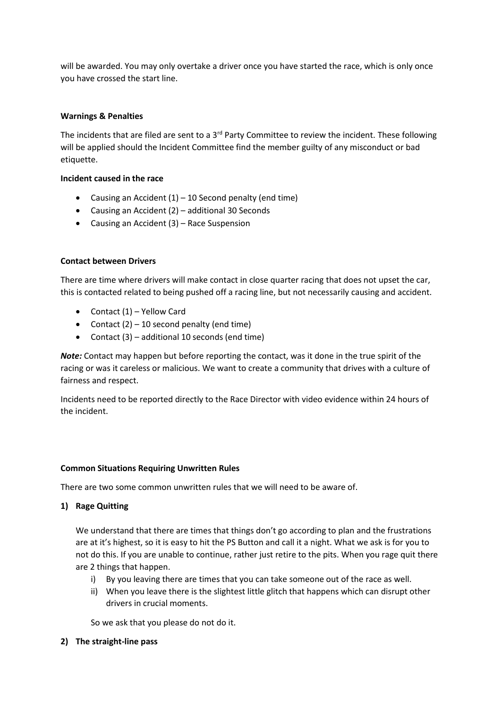will be awarded. You may only overtake a driver once you have started the race, which is only once you have crossed the start line.

## **Warnings & Penalties**

The incidents that are filed are sent to a  $3<sup>rd</sup>$  Party Committee to review the incident. These following will be applied should the Incident Committee find the member guilty of any misconduct or bad etiquette.

#### **Incident caused in the race**

- Causing an Accident  $(1)$  10 Second penalty (end time)
- Causing an Accident (2) additional 30 Seconds
- Causing an Accident (3) Race Suspension

## **Contact between Drivers**

There are time where drivers will make contact in close quarter racing that does not upset the car, this is contacted related to being pushed off a racing line, but not necessarily causing and accident.

- Contact (1) Yellow Card
- Contact  $(2) 10$  second penalty (end time)
- Contact (3) additional 10 seconds (end time)

*Note:* Contact may happen but before reporting the contact, was it done in the true spirit of the racing or was it careless or malicious. We want to create a community that drives with a culture of fairness and respect.

Incidents need to be reported directly to the Race Director with video evidence within 24 hours of the incident.

#### **Common Situations Requiring Unwritten Rules**

There are two some common unwritten rules that we will need to be aware of.

# **1) Rage Quitting**

We understand that there are times that things don't go according to plan and the frustrations are at it's highest, so it is easy to hit the PS Button and call it a night. What we ask is for you to not do this. If you are unable to continue, rather just retire to the pits. When you rage quit there are 2 things that happen.

- i) By you leaving there are times that you can take someone out of the race as well.
- ii) When you leave there is the slightest little glitch that happens which can disrupt other drivers in crucial moments.

So we ask that you please do not do it.

**2) The straight-line pass**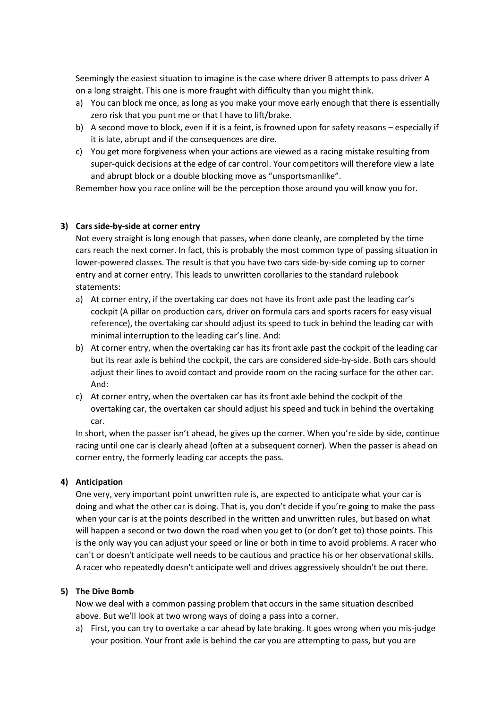Seemingly the easiest situation to imagine is the case where driver B attempts to pass driver A on a long straight. This one is more fraught with difficulty than you might think.

- a) You can block me once, as long as you make your move early enough that there is essentially zero risk that you punt me or that I have to lift/brake.
- b) A second move to block, even if it is a feint, is frowned upon for safety reasons especially if it is late, abrupt and if the consequences are dire.
- c) You get more forgiveness when your actions are viewed as a racing mistake resulting from super-quick decisions at the edge of car control. Your competitors will therefore view a late and abrupt block or a double blocking move as "unsportsmanlike".

Remember how you race online will be the perception those around you will know you for.

## **3) Cars side-by-side at corner entry**

Not every straight is long enough that passes, when done cleanly, are completed by the time cars reach the next corner. In fact, this is probably the most common type of passing situation in lower-powered classes. The result is that you have two cars side-by-side coming up to corner entry and at corner entry. This leads to unwritten corollaries to the standard rulebook statements:

- a) At corner entry, if the overtaking car does not have its front axle past the leading car's cockpit (A pillar on production cars, driver on formula cars and sports racers for easy visual reference), the overtaking car should adjust its speed to tuck in behind the leading car with minimal interruption to the leading car's line. And:
- b) At corner entry, when the overtaking car has its front axle past the cockpit of the leading car but its rear axle is behind the cockpit, the cars are considered side-by-side. Both cars should adjust their lines to avoid contact and provide room on the racing surface for the other car. And:
- c) At corner entry, when the overtaken car has its front axle behind the cockpit of the overtaking car, the overtaken car should adjust his speed and tuck in behind the overtaking car.

In short, when the passer isn't ahead, he gives up the corner. When you're side by side, continue racing until one car is clearly ahead (often at a subsequent corner). When the passer is ahead on corner entry, the formerly leading car accepts the pass.

#### **4) Anticipation**

One very, very important point unwritten rule is, are expected to anticipate what your car is doing and what the other car is doing. That is, you don't decide if you're going to make the pass when your car is at the points described in the written and unwritten rules, but based on what will happen a second or two down the road when you get to (or don't get to) those points. This is the only way you can adjust your speed or line or both in time to avoid problems. A racer who can't or doesn't anticipate well needs to be cautious and practice his or her observational skills. A racer who repeatedly doesn't anticipate well and drives aggressively shouldn't be out there.

#### **5) The Dive Bomb**

Now we deal with a common passing problem that occurs in the same situation described above. But we'll look at two wrong ways of doing a pass into a corner.

a) First, you can try to overtake a car ahead by late braking. It goes wrong when you mis-judge your position. Your front axle is behind the car you are attempting to pass, but you are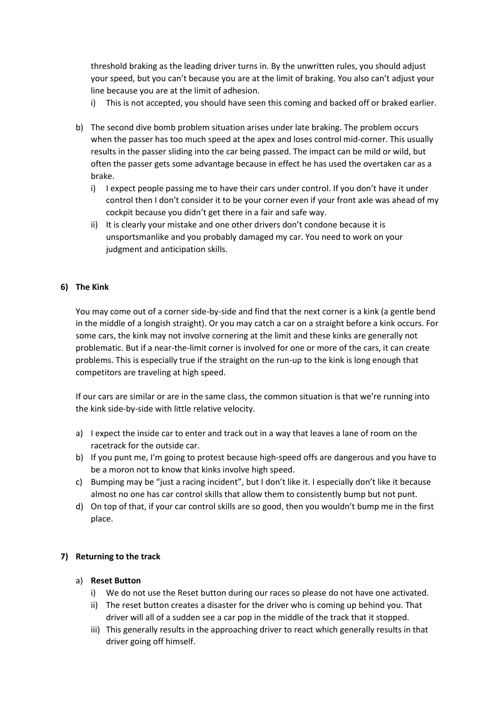threshold braking as the leading driver turns in. By the unwritten rules, you should adjust your speed, but you can't because you are at the limit of braking. You also can't adjust your line because you are at the limit of adhesion.

- i) This is not accepted, you should have seen this coming and backed off or braked earlier.
- b) The second dive bomb problem situation arises under late braking. The problem occurs when the passer has too much speed at the apex and loses control mid-corner. This usually results in the passer sliding into the car being passed. The impact can be mild or wild, but often the passer gets some advantage because in effect he has used the overtaken car as a brake.
	- i) I expect people passing me to have their cars under control. If you don't have it under control then I don't consider it to be your corner even if your front axle was ahead of my cockpit because you didn't get there in a fair and safe way.
	- ii) It is clearly your mistake and one other drivers don't condone because it is unsportsmanlike and you probably damaged my car. You need to work on your judgment and anticipation skills.

# **6) The Kink**

You may come out of a corner side-by-side and find that the next corner is a kink (a gentle bend in the middle of a longish straight). Or you may catch a car on a straight before a kink occurs. For some cars, the kink may not involve cornering at the limit and these kinks are generally not problematic. But if a near-the-limit corner is involved for one or more of the cars, it can create problems. This is especially true if the straight on the run-up to the kink is long enough that competitors are traveling at high speed.

If our cars are similar or are in the same class, the common situation is that we're running into the kink side-by-side with little relative velocity.

- a) I expect the inside car to enter and track out in a way that leaves a lane of room on the racetrack for the outside car.
- b) If you punt me, I'm going to protest because high-speed offs are dangerous and you have to be a moron not to know that kinks involve high speed.
- c) Bumping may be "just a racing incident", but I don't like it. I especially don't like it because almost no one has car control skills that allow them to consistently bump but not punt.
- d) On top of that, if your car control skills are so good, then you wouldn't bump me in the first place.

#### **7) Returning to the track**

#### a) **Reset Button**

- i) We do not use the Reset button during our races so please do not have one activated.
- ii) The reset button creates a disaster for the driver who is coming up behind you. That driver will all of a sudden see a car pop in the middle of the track that it stopped.
- iii) This generally results in the approaching driver to react which generally results in that driver going off himself.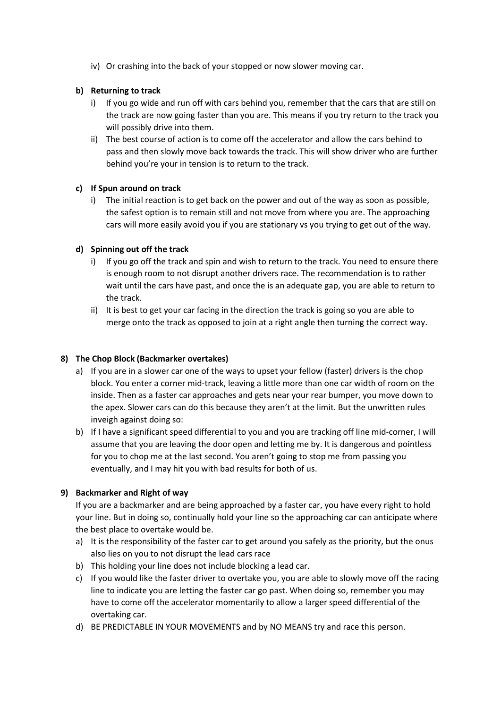iv) Or crashing into the back of your stopped or now slower moving car.

# **b) Returning to track**

- i) If you go wide and run off with cars behind you, remember that the cars that are still on the track are now going faster than you are. This means if you try return to the track you will possibly drive into them.
- ii) The best course of action is to come off the accelerator and allow the cars behind to pass and then slowly move back towards the track. This will show driver who are further behind you're your in tension is to return to the track.

# **c) If Spun around on track**

i) The initial reaction is to get back on the power and out of the way as soon as possible, the safest option is to remain still and not move from where you are. The approaching cars will more easily avoid you if you are stationary vs you trying to get out of the way.

# **d) Spinning out off the track**

- i) If you go off the track and spin and wish to return to the track. You need to ensure there is enough room to not disrupt another drivers race. The recommendation is to rather wait until the cars have past, and once the is an adequate gap, you are able to return to the track.
- ii) It is best to get your car facing in the direction the track is going so you are able to merge onto the track as opposed to join at a right angle then turning the correct way.

# **8) The Chop Block (Backmarker overtakes)**

- a) If you are in a slower car one of the ways to upset your fellow (faster) drivers is the chop block. You enter a corner mid-track, leaving a little more than one car width of room on the inside. Then as a faster car approaches and gets near your rear bumper, you move down to the apex. Slower cars can do this because they aren't at the limit. But the unwritten rules inveigh against doing so:
- b) If I have a significant speed differential to you and you are tracking off line mid-corner, I will assume that you are leaving the door open and letting me by. It is dangerous and pointless for you to chop me at the last second. You aren't going to stop me from passing you eventually, and I may hit you with bad results for both of us.

# **9) Backmarker and Right of way**

If you are a backmarker and are being approached by a faster car, you have every right to hold your line. But in doing so, continually hold your line so the approaching car can anticipate where the best place to overtake would be.

- a) It is the responsibility of the faster car to get around you safely as the priority, but the onus also lies on you to not disrupt the lead cars race
- b) This holding your line does not include blocking a lead car.
- c) If you would like the faster driver to overtake you, you are able to slowly move off the racing line to indicate you are letting the faster car go past. When doing so, remember you may have to come off the accelerator momentarily to allow a larger speed differential of the overtaking car.
- d) BE PREDICTABLE IN YOUR MOVEMENTS and by NO MEANS try and race this person.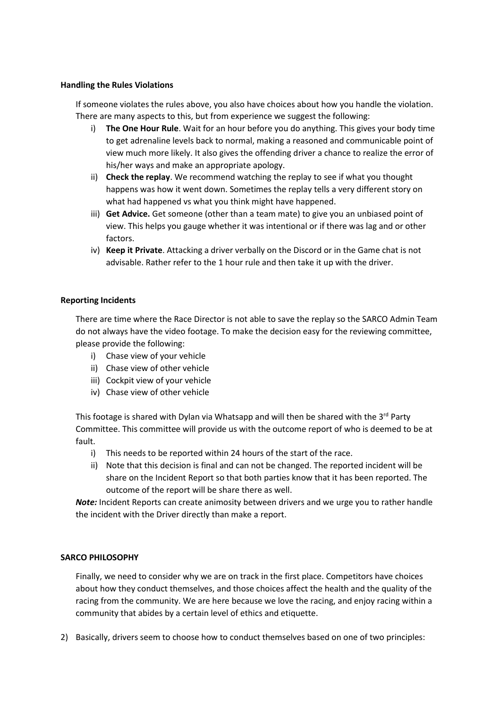#### **Handling the Rules Violations**

If someone violates the rules above, you also have choices about how you handle the violation. There are many aspects to this, but from experience we suggest the following:

- i) **The One Hour Rule**. Wait for an hour before you do anything. This gives your body time to get adrenaline levels back to normal, making a reasoned and communicable point of view much more likely. It also gives the offending driver a chance to realize the error of his/her ways and make an appropriate apology.
- ii) **Check the replay**. We recommend watching the replay to see if what you thought happens was how it went down. Sometimes the replay tells a very different story on what had happened vs what you think might have happened.
- iii) **Get Advice.** Get someone (other than a team mate) to give you an unbiased point of view. This helps you gauge whether it was intentional or if there was lag and or other factors.
- iv) **Keep it Private**. Attacking a driver verbally on the Discord or in the Game chat is not advisable. Rather refer to the 1 hour rule and then take it up with the driver.

#### **Reporting Incidents**

There are time where the Race Director is not able to save the replay so the SARCO Admin Team do not always have the video footage. To make the decision easy for the reviewing committee, please provide the following:

- i) Chase view of your vehicle
- ii) Chase view of other vehicle
- iii) Cockpit view of your vehicle
- iv) Chase view of other vehicle

This footage is shared with Dylan via Whatsapp and will then be shared with the  $3^{rd}$  Party Committee. This committee will provide us with the outcome report of who is deemed to be at fault.

- i) This needs to be reported within 24 hours of the start of the race.
- ii) Note that this decision is final and can not be changed. The reported incident will be share on the Incident Report so that both parties know that it has been reported. The outcome of the report will be share there as well.

*Note:* Incident Reports can create animosity between drivers and we urge you to rather handle the incident with the Driver directly than make a report.

## **SARCO PHILOSOPHY**

Finally, we need to consider why we are on track in the first place. Competitors have choices about how they conduct themselves, and those choices affect the health and the quality of the racing from the community. We are here because we love the racing, and enjoy racing within a community that abides by a certain level of ethics and etiquette.

2) Basically, drivers seem to choose how to conduct themselves based on one of two principles: